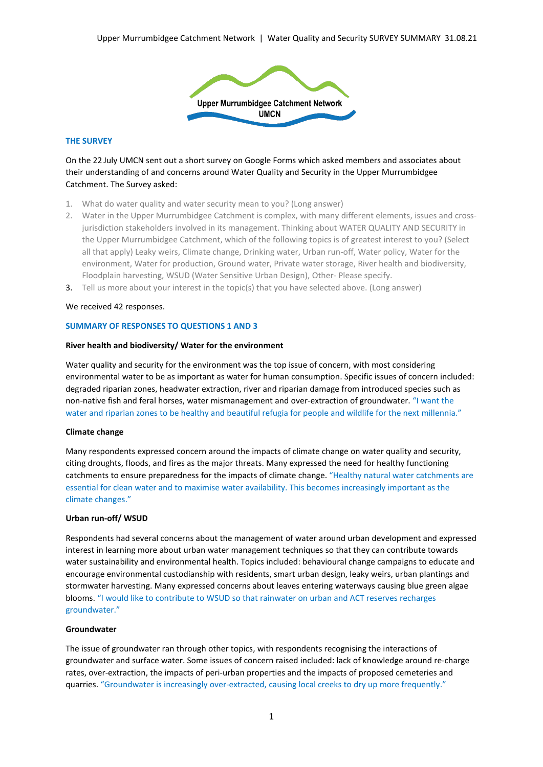

# **THE SURVEY**

On the 22 July UMCN sent out a short survey on Google Forms which asked members and associates about their understanding of and concerns around Water Quality and Security in the Upper Murrumbidgee Catchment. The Survey asked:

- 1. What do water quality and water security mean to you? (Long answer)
- 2. Water in the Upper Murrumbidgee Catchment is complex, with many different elements, issues and crossjurisdiction stakeholders involved in its management. Thinking about WATER QUALITY AND SECURITY in the Upper Murrumbidgee Catchment, which of the following topics is of greatest interest to you? (Select all that apply) Leaky weirs, Climate change, Drinking water, Urban run-off, Water policy, Water for the environment, Water for production, Ground water, Private water storage, River health and biodiversity, Floodplain harvesting, WSUD (Water Sensitive Urban Design), Other- Please specify.
- 3. Tell us more about your interest in the topic(s) that you have selected above. (Long answer)

# We received 42 responses.

# **SUMMARY OF RESPONSES TO QUESTIONS 1 AND 3**

## **River health and biodiversity/ Water for the environment**

Water quality and security for the environment was the top issue of concern, with most considering environmental water to be as important as water for human consumption. Specific issues of concern included: degraded riparian zones, headwater extraction, river and riparian damage from introduced species such as non-native fish and feral horses, water mismanagement and over-extraction of groundwater. "I want the water and riparian zones to be healthy and beautiful refugia for people and wildlife for the next millennia."

## **Climate change**

Many respondents expressed concern around the impacts of climate change on water quality and security, citing droughts, floods, and fires as the major threats. Many expressed the need for healthy functioning catchments to ensure preparedness for the impacts of climate change. "Healthy natural water catchments are essential for clean water and to maximise water availability. This becomes increasingly important as the climate changes."

## **Urban run-off/ WSUD**

Respondents had several concerns about the management of water around urban development and expressed interest in learning more about urban water management techniques so that they can contribute towards water sustainability and environmental health. Topics included: behavioural change campaigns to educate and encourage environmental custodianship with residents, smart urban design, leaky weirs, urban plantings and stormwater harvesting. Many expressed concerns about leaves entering waterways causing blue green algae blooms. "I would like to contribute to WSUD so that rainwater on urban and ACT reserves recharges groundwater."

## **Groundwater**

The issue of groundwater ran through other topics, with respondents recognising the interactions of groundwater and surface water. Some issues of concern raised included: lack of knowledge around re-charge rates, over-extraction, the impacts of peri-urban properties and the impacts of proposed cemeteries and quarries. "Groundwater is increasingly over-extracted, causing local creeks to dry up more frequently."